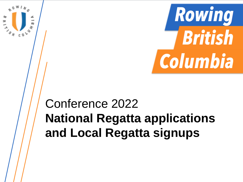

# Conference 2022 **National Regatta applications and Local Regatta signups**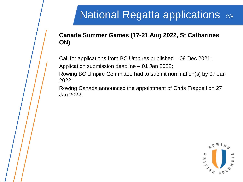## **National Regatta applications** 2/8

### **Canada Summer Games (17-21 Aug 2022, St Catharines ON)**

Call for applications from BC Umpires published – 09 Dec 2021;

Application submission deadline – 01 Jan 2022;

Rowing BC Umpire Committee had to submit nomination(s) by 07 Jan 2022;

Rowing Canada announced the appointment of Chris Frappell on 27 Jan 2022.

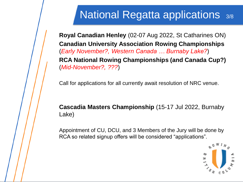### National Regatta applications 3/8

**Royal Canadian Henley** (02-07 Aug 2022, St Catharines ON) **Canadian University Association Rowing Championships**  (*Early November?, Western Canada … Burnaby Lake?*) **RCA National Rowing Championships (and Canada Cup?)**  (*Mid-November?, ???*)

Call for applications for all currently await resolution of NRC venue.

### **Cascadia Masters Championship** (15-17 Jul 2022, Burnaby Lake)

Appointment of CU, DCU, and 3 Members of the Jury will be done by RCA so related signup offers will be considered "applications".

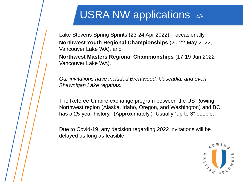### USRA NW applications 4/8

Lake Stevens Spring Sprints (23-24 Apr 2022) – occasionally, **Northwest Youth Regional Championships** (20-22 May 2022, Vancouver Lake WA), and **Northwest Masters Regional Championships** (17-19 Jun 2022

Vancouver Lake WA).

*Our invitations have included Brentwood, Cascadia, and even Shawnigan Lake regattas.*

The Referee-Umpire exchange program between the US Rowing Northwest region (Alaska, Idaho, Oregon, and Washington) and BC has a 25-year history. (Approximately.) Usually "up to 3" people.

Due to Covid-19, any decision regarding 2022 invitations will be delayed as long as feasible.

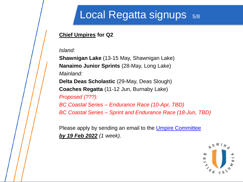### Local Regatta signups  $5/8$

#### **Chief Umpires for Q2**

*Island:*

**Shawnigan Lake** (13-15 May, Shawnigan Lake) **Nanaimo Junior Sprints** (28-May, Long Lake) *Mainland:* **Delta Deas Scholastic** (29-May, Deas Slough) **Coaches Regatta** (11-12 Jun, Burnaby Lake) *Proposed (???): BC Coastal Series – Endurance Race (10-Apr, TBD) BC Coastal Series – Sprint and Endurance Race (18-Jun, TBD)*

Please apply by sending an email to the [Umpire Committee](mailto:ucommittee@rowingbc.ca) *by 19 Feb 2022 (1 week).*

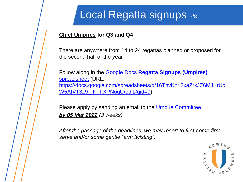## Local Regatta signups 6/8

#### **Chief Umpires for Q3 and Q4**

There are anywhere from 14 to 24 regattas planned or proposed for the second half of the year.

Follow along in the [Google Docs](https://docs.google.com/spreadsheets/d/16TnvKnrl3xaZrkJZ6MJKrUdW5AIVT3z9_-KTFXPNogU/edit#gid=0) **[Regatta Signups \(Umpires\)](https://docs.google.com/spreadsheets/d/16TnvKnrl3xaZrkJZ6MJKrUdW5AIVT3z9_-KTFXPNogU/edit#gid=0)** [spreadsheet](https://docs.google.com/spreadsheets/d/16TnvKnrl3xaZrkJZ6MJKrUdW5AIVT3z9_-KTFXPNogU/edit#gid=0) (URL: [https://docs.google.com/spreadsheets/d/16TnvKnrl3xaZrkJZ6MJKrUd](https://docs.google.com/spreadsheets/d/16TnvKnrl3xaZrkJZ6MJKrUdW5AIVT3z9_-KTFXPNogU/edit#gid=0) [W5AIVT3z9\\_-KTFXPNogU/edit#gid=0\)](https://docs.google.com/spreadsheets/d/16TnvKnrl3xaZrkJZ6MJKrUdW5AIVT3z9_-KTFXPNogU/edit#gid=0).

Please apply by sending an email to the *Umpire Committee by 05 Mar 2022 (3 weeks).*

*After the passage of the deadlines, we may resort to first-come-firstserve and/or some gentle "arm twisting".*

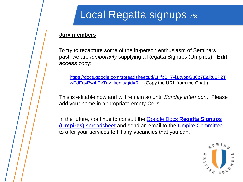# Local Regatta signups 7/8

#### **Jury members**

To try to recapture some of the in-person enthusiasm of Seminars past, we are *temporarily* supplying a Regatta Signups (Umpires) - **Edit access** copy:

[https://docs.google.com/spreadsheets/d/1HfpB\\_7yj1xvbpGu0p7EaRu8P2T](https://docs.google.com/spreadsheets/d/1HfpB_7yj1xvbpGu0p7EaRu8P2TwEdEqvPw4fEkTnv_I/edit#gid=0) wEdEqvPw4fEkTnv I/edit#gid=0 (Copy the URL from the Chat.)

This is editable now and will remain so until *Sunday afternoon*. Please add your name in appropriate empty Cells.

In the future, continue to consult the [Google Docs](https://docs.google.com/spreadsheets/d/16TnvKnrl3xaZrkJZ6MJKrUdW5AIVT3z9_-KTFXPNogU/edit#gid=0) **[Regatta Signups](https://docs.google.com/spreadsheets/d/16TnvKnrl3xaZrkJZ6MJKrUdW5AIVT3z9_-KTFXPNogU/edit#gid=0)  [\(Umpires\)](https://docs.google.com/spreadsheets/d/16TnvKnrl3xaZrkJZ6MJKrUdW5AIVT3z9_-KTFXPNogU/edit#gid=0)** [spreadsheet](https://docs.google.com/spreadsheets/d/16TnvKnrl3xaZrkJZ6MJKrUdW5AIVT3z9_-KTFXPNogU/edit#gid=0) and send an email to the [Umpire Committee](mailto:ucommittee@rowingbc.ca)  to offer your services to fill any vacancies that you can.